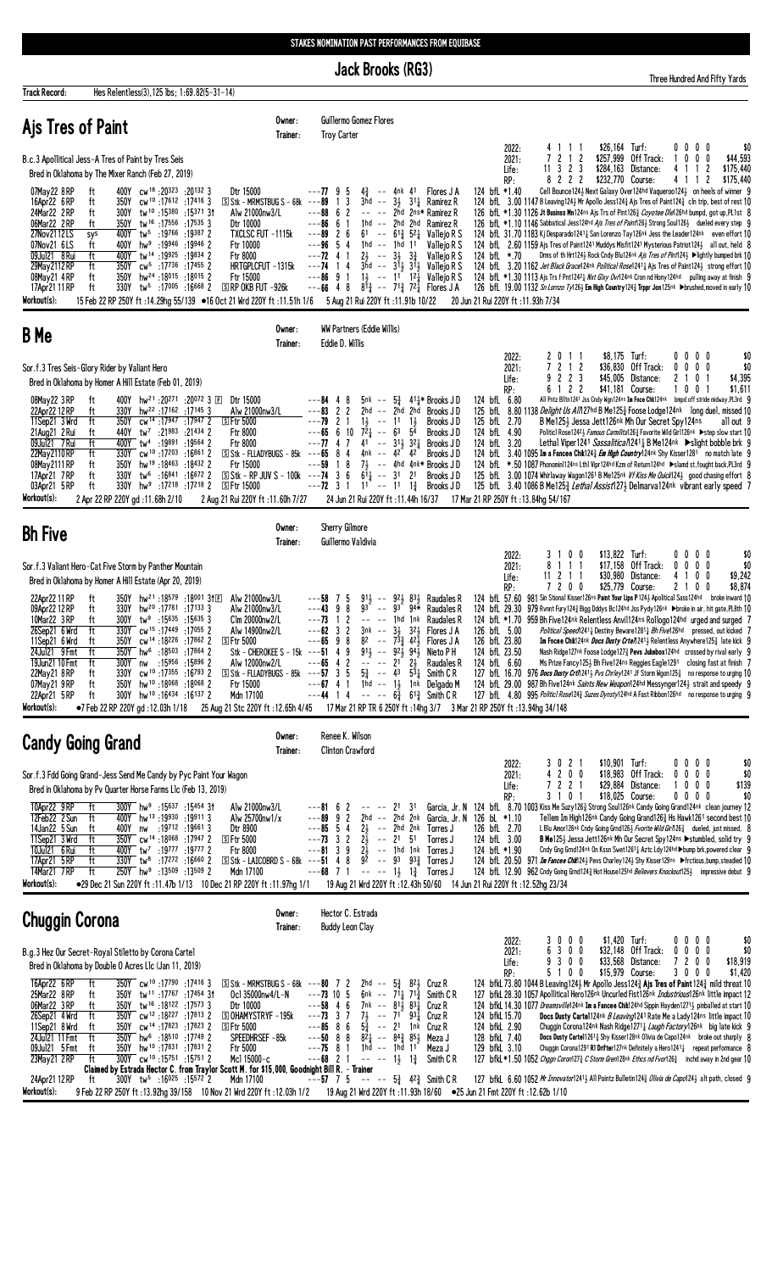**Jack Brooks (RG3)** 

Track Record:

Hes Relentless(3), 125 lbs; 1:69.82(5-31-14)

Three Hundred And Fifty Yards

| Ajs Tres of Paint                                                                                                                                                                                                                                                                                                                                                                                                                                                                                                                                                                                                                                                                                                                                                                                                                                                                                                                                                                                                                                                                                                                                 | Owner:<br>Trainer:               | <b>Troy Carter</b>                                                                                                                | Guillermo Gomez Flores                                                                                                                                                                                                                                                                                                                                                                                                                                                                                                        |                                                 |                                                                                                                                                                                                                                                                                                      |                                                                                                             |                                                                                                                                                                                                                                                                                                                                                                                                                                                                                                                                                                                                                                                                                                                                                                                                                                                                                                                                                                                                                                                      |                                                                                                                                                                                                                                                                                                                                                                                                                                                                                                                                                                                                                                              |                                                             |                                               |
|---------------------------------------------------------------------------------------------------------------------------------------------------------------------------------------------------------------------------------------------------------------------------------------------------------------------------------------------------------------------------------------------------------------------------------------------------------------------------------------------------------------------------------------------------------------------------------------------------------------------------------------------------------------------------------------------------------------------------------------------------------------------------------------------------------------------------------------------------------------------------------------------------------------------------------------------------------------------------------------------------------------------------------------------------------------------------------------------------------------------------------------------------|----------------------------------|-----------------------------------------------------------------------------------------------------------------------------------|-------------------------------------------------------------------------------------------------------------------------------------------------------------------------------------------------------------------------------------------------------------------------------------------------------------------------------------------------------------------------------------------------------------------------------------------------------------------------------------------------------------------------------|-------------------------------------------------|------------------------------------------------------------------------------------------------------------------------------------------------------------------------------------------------------------------------------------------------------------------------------------------------------|-------------------------------------------------------------------------------------------------------------|------------------------------------------------------------------------------------------------------------------------------------------------------------------------------------------------------------------------------------------------------------------------------------------------------------------------------------------------------------------------------------------------------------------------------------------------------------------------------------------------------------------------------------------------------------------------------------------------------------------------------------------------------------------------------------------------------------------------------------------------------------------------------------------------------------------------------------------------------------------------------------------------------------------------------------------------------------------------------------------------------------------------------------------------------|----------------------------------------------------------------------------------------------------------------------------------------------------------------------------------------------------------------------------------------------------------------------------------------------------------------------------------------------------------------------------------------------------------------------------------------------------------------------------------------------------------------------------------------------------------------------------------------------------------------------------------------------|-------------------------------------------------------------|-----------------------------------------------|
| B.c.3 Apollitical Jess-A Tres of Paint by Tres Seis<br>Bred in Oklahoma by The Mixer Ranch (Feb 27, 2019)<br>400Y cw <sup>18</sup> :20323 :20132 3<br>Dtr 15000<br>07May22 8RP<br>ft<br>16Apr22 6RP<br>cw <sup>10</sup> :17612 :17416 3<br>$\boxed{S}$ Stk - MRMSTBUG S - 68k ---89<br>ft<br>350Y<br>24Mar22 2RP<br>ft<br>tw <sup>10</sup> :15380:1537131<br>300Y<br>Alw 21000nw3/L<br>06Mar22 2RP<br>350Y tw <sup>16</sup> :17556:175353<br>ft<br>Dtr 10000<br>27Nov2112LS<br>400Y tw <sup>5</sup> :19766 :19387 2<br>TXCLSC FUT -1115k<br>sys<br>07Nov21 6LS<br>400Y<br>$hw9$ :19946 :19946 2<br>Ftr 10000<br>ft<br>09Jul21 8 Rui<br>ft<br>400Y tw <sup>14</sup> :19925:19834 2<br>Ftr 8000<br>350Y cw <sup>5</sup> :17736 :17455 2<br>29May 2112 RP<br>ft<br>HRTGPLCFUT -1315k<br>08May21 4RP<br>ft<br>350Y hw <sup>24</sup> :18015:18015 2<br>Ftr 15000<br>330Y tw <sup>5</sup> :17005 :16668 2<br>ft<br><b>S RP OKB FUT -926k</b><br>17Apr21 11 RP<br>Workout(s):<br>15 Feb 22 RP 250Y ft :14.29hg 55/139 ●16 Oct 21 Wrd 220Y ft :11.51h 1/6 5 Aug 21 Rui 220Y ft :11.91b 10/22                                                              |                                  | $---7795$<br>- 1<br>$---88662$<br>$---86661$<br>$---89$ 2 6<br>$---96$ 5<br>$---72$ 4 1<br>$---74$ 14<br>$---8691$<br>$---66$ 4 8 | $4\frac{3}{4}$<br>3<br>1 hd -- 2 hd 2 hd<br>4<br>1hd -- 1hd<br>$2\frac{1}{2}$ -- $3\frac{1}{2}$ $3\frac{3}{4}$<br>$1\frac{1}{2}$ -- 11 12                                                                                                                                                                                                                                                                                                                                                                                     | -- 4nk 41<br>11                                 | Flores J A<br>3hd $-$ 3 $\frac{1}{2}$ 31 $\frac{1}{4}$ Ramirez R<br>-- -- 2hd 2ns* Ramirez R<br>Ramirez R<br>61 -- $6^{13}$ 5 <sup>2</sup> Vallejo R S<br>Vallejo R S<br>Valleio R S<br>$3\bar{h}d$ -- $3\bar{1}3$ $31\bar{3}$ Vallejo R S<br>Vallejo R S<br>$8^{13}$ -- $7^{13}$ $7^{21}$ Flores JA | RP:<br>124 bfL *1.40<br>124 bfL $*.70$                                                                      | 2022:<br>41<br>-1-1<br>7212<br>2021:<br>$11 \t3 \t2 \t3$<br>Life:<br>8 2 2 2<br>124 bfL 3.00 1147 B Leaving 124½ Mr Apollo Jess 124 $\frac{3}{4}$ Ajs Tres of Paint 124 $\frac{3}{4}$ cln trip, best of rest 10<br>126 bfL *1.30 1126 Jt Businss Mn124ns Ais Trs of Pint126 $\frac{3}{4}$ <i>Coyotee Dle</i> 126hd bumpd, got up,PL1st 8<br>126 bfL *1.10 1146 Sabbatical Jess124hd <i>Ajs Tres of Paint</i> 126½ Strong Soul126½ dueled every step 9<br>124 bfl 31.70 1183 Kj Desparado1241 <sub>4</sub> San Lorenzo Tay126nk Jess the Leader124nk even effort 10<br>124 bfl. 2.60 1159 Ais Tres of Paint1241 Muddys Misfit1241 Mysterious Patriot124} all out, held 8<br>124 bfl 3.20 1162 Jet Black Grace124nk Political Rose12414 Ajs Tres of Paint1244 strong effort 10<br>124 bfl *1.30 1113 Ajs Trs f Pnt1242 Hxt Glxy Ovr124nk Cron nd Hony124hd pulling away at finish 9<br>126 bfL 19.00 1132 <i>Sn Lornzo Ty</i> 126½ <b>Em High Country</b> 124¾ <b>Trppr Jon</b> 125nk ▶brushed,moved in early 10<br>20 Jun 21 Rui 220Y ft: 11.93h 7/34 | \$26,164 Turf:<br>\$257,999 Off Track:<br>\$284,163 Distance:<br>\$232,770 Course:<br>Cell Bounce1243 Next Galaxy Over124hd Vaqueroo1243 on heels of winner 9<br>Drms of th Hrt124} Rock Cndy Blu124nk Ais Tres of Pint124} ▶lightly bumped brk 10                                                                                                                                                                                                                                                                                                                                                                                           | 0000<br>1 0 0 0<br>4 1 1 2<br>4 1 1 2                       | \$0<br>\$44,593<br>\$175,440<br>\$175.440     |
| <b>B</b> Me                                                                                                                                                                                                                                                                                                                                                                                                                                                                                                                                                                                                                                                                                                                                                                                                                                                                                                                                                                                                                                                                                                                                       | Owner:<br>Trainer:               | Eddie D. Willis                                                                                                                   | WW Partners (Eddie Willis)                                                                                                                                                                                                                                                                                                                                                                                                                                                                                                    |                                                 |                                                                                                                                                                                                                                                                                                      |                                                                                                             |                                                                                                                                                                                                                                                                                                                                                                                                                                                                                                                                                                                                                                                                                                                                                                                                                                                                                                                                                                                                                                                      |                                                                                                                                                                                                                                                                                                                                                                                                                                                                                                                                                                                                                                              |                                                             |                                               |
| Sor.f.3 Tres Seis-Glory Rider by Valiant Hero<br>Bred in Oklahoma by Homer A Hill Estate (Feb 01, 2019)<br>ft<br>400Y hw <sup>21</sup> :20 <sup>271</sup> :20 <sup>072</sup> 3 E Dtr 15000<br>08May22 3RP<br>hw <sup>22</sup> :17162:171453<br>Alw 21000nw3/L<br>22Apr22 12 RP<br>330Y<br>ft<br>11Sep21 3 Wrd<br>ft<br>350Y cw <sup>14</sup> :17947:17947 2<br><b>SFtr 5000</b><br>21Aug21 2 Rui<br>440Y tw <sup>7</sup> :21983 :21434 2<br>ft<br>Ftr 8000<br>ft<br>400Y tw <sup>4</sup> :19891 :19564 2<br>Ftr 8000<br>09Jul21 7 Rui<br>330Y cw <sup>10</sup> :17203 :16861 2<br>$S$ Stk - FLLADYBUGS - 85k ---65 8 4<br>22May 2110 RP<br>ft<br>08May2111RP<br>350Y<br>hw <sup>19</sup> :18463:184322<br>Ftr 15000<br>ft<br>17Apr21 7RP<br>330Y tw <sup>6</sup> :16841 :16672 2<br>$S$ Stk - RP JUV S - 100k ---74 3 6<br>ft<br>03Apr21 5RP<br>ft<br>330Y<br>hw <sup>9</sup> :17218:17218 2<br><b>SFtr 15000</b><br>Workout(s):<br>2 Apr 22 RP 220Y gd:11.68h 2/10<br>2 Aug 21 Rui 220Y ft: 11.60h 7/27                                                                                                                                          |                                  | $---84$ 4<br>$---83$<br>$\overline{c}$<br>$---79$ 2 1<br>$---65$ 6 10<br>$---77$ 4 7<br>18<br>---59<br>$---72$ 3 1                | 5nk --<br>8<br>2hd<br>2<br>$1\frac{1}{2}$ -- 11<br>$72\frac{1}{4}$ -- 63 54<br>$41 - - 31\frac{1}{2}32\frac{1}{4}$<br>4nk -- $4^2$ 42<br>$6\overline{1}$ -- 31 21<br>$11 - 11$ $13$<br>24 Jun 21 Rui 220Y ft : 11.44h 16/37                                                                                                                                                                                                                                                                                                   | $5\frac{3}{4}$<br>-- 2hd 2hd<br>$1\frac{1}{2}$  | $41\frac{1}{4}$ * Brooks J D<br>Brooks JD<br>Brooks JD<br>Brooks JD<br>Brooks J D<br>Brooks JD<br>$7\frac{1}{2}$ -- 4hd 4nk* Brooks JD<br>Brooks JD<br>Brooks J D                                                                                                                                    | RP:<br>124 bfL 6.80<br>125 bfL 2.70<br>124 bfL 4.90<br>124 bfL 3.20                                         | 2 0 1 1<br>2022:<br>7 2 1 2<br>2021:<br>2 2 3<br>9<br>Life:<br>6122<br>125 bfl 8.80 1138 Delight Us All1 27hd B Me1253 Foose Lodge124nk long duel, missed 10<br>124 bfl. 3.40 1095 Im a Fancee Chik124 <sub>2</sub> <i>Em High Country</i> 124nk Shy Kisser1281 no match late 9<br>124 bfL *.50 1087 Phonomin1124ns Lthl Vipr124hd Kzm of Return124hd >slamd st, fought back, PL3rd 9<br>125 bfl. 3.00 1074 Whirlaway Wagon1261 B Me125nk Vf Kiss Me Quick1243 good chasing effort 8<br>125 bfl 3.40 1086 B Me125 $\frac{3}{4}$ Lethal Assist127 $\frac{1}{2}$ Delmarva124nk vibrant early speed 7<br>17 Mar 21 RP 250Y ft: 13.84hg 54/167                                                                                                                                                                                                                                                                                                                                                                                                           | \$8,175 Turf:<br>\$36,830 Off Track:<br>\$45,005 Distance:<br>\$41,181 Course:<br>All Pntz Blltn1241 Jss Cndy Wgn124ns Im Fnce Chk124nk bmpd off stride midway, PL3rd 9<br>B Me1253 Jessa Jett126nk Mh Our Secret Spy124ns<br>Politicl Rose1242} Famous Carmilita126} Favorite Wild Girl126nk ▶step slow start 10<br>Lethal Viper1241 Sassalitica/1241 B Me124nk $\triangleright$ Slight bobble brk 9                                                                                                                                                                                                                                        | $0\,0\,0\,0$<br>$0\ 0\ 0\ 0$<br>2 1 0 1<br>1001             | \$0<br>\$0<br>\$4,395<br>\$1,611<br>all out 9 |
| <b>Bh Five</b>                                                                                                                                                                                                                                                                                                                                                                                                                                                                                                                                                                                                                                                                                                                                                                                                                                                                                                                                                                                                                                                                                                                                    | Owner:<br>Trainer:               | Sherry Gilmore                                                                                                                    | Guillermo Valdivia                                                                                                                                                                                                                                                                                                                                                                                                                                                                                                            |                                                 |                                                                                                                                                                                                                                                                                                      |                                                                                                             |                                                                                                                                                                                                                                                                                                                                                                                                                                                                                                                                                                                                                                                                                                                                                                                                                                                                                                                                                                                                                                                      |                                                                                                                                                                                                                                                                                                                                                                                                                                                                                                                                                                                                                                              |                                                             |                                               |
| Sor.f.3 Valiant Hero-Cat Five Storm by Panther Mountain<br>Bred in Oklahoma by Homer A Hill Estate (Apr 20, 2019)<br>22Apr22 11 RP<br>$350Y$ hw <sup>21</sup> :18 <sup>579</sup> :18001 31E<br>Alw 21000nw3/L<br>ft<br>330Y hw <sup>20</sup> :17781 :17133 3<br>Alw 21000nw3/L<br>09Apr22 12 RP<br>ft<br>10Mar22 3RP<br>$tw^9$ :15635 :15635 3<br>Clm 20000nw2/L<br>ft<br>300Y<br>26Sep21 6 Wrd<br>ft<br>330Y cw <sup>15</sup> :17449 :17055 2<br>Alw 14900nw2/L<br>cw <sup>14</sup> :18 <sup>226</sup> :17862 2<br>11Sep21 6 Wrd<br>350Y<br><b>SFtr 5000</b><br>ft<br>24Jul21 9 Fmt<br>ft<br>350Y<br>hw <sup>6</sup> :18 <sup>503</sup> :17864 2<br>ft<br>19Jun21 10 Fmt<br>300Y nw :15956 :15896 2<br>Alw 12000nw2/L<br>22May21 8RP<br>330Y cw <sup>10</sup> :17355 :16793 2<br>$S$ Stk - FLLADYBUGS - 85k ---57 3 5<br>ft<br>350Y hw <sup>10</sup> :18068:180682<br>Ftr 15000<br>07May21 9 RP<br>ft<br>300Y hw <sup>10</sup> :16434 :16137 2<br>Mdn 17100<br>22Apr21 5 RP<br>ft<br>Workout(s):<br>●7 Feb 22 RP 220Y gd :12.03h 1/18 25 Aug 21 Stc 220Y ft :12.65h 4/45 17 Mar 21 RP TR 6 250Y ft :14hg 3/7 3 Mar 21 RP 250Y ft :13.94hg 34/148 | Stk - CHEROKEE S - 15k ---51 4 9 | ---58<br>---43<br>9<br>---73<br>-1<br>$---62$ 3<br>$---65$ 9 8<br>$--65$ 4 2                                                      | 91,<br>5<br>93<br>8<br>2<br>$\begin{array}{ccc} - & - & - \end{array}$<br>2<br>3nk<br>$--$ 34<br>$8^2$ -- $7^{\overline{3}}\frac{3}{4}$ $4^{\overline{2}}\frac{1}{2}$<br>$91\frac{1}{2}$ -- $92\frac{1}{2}$ $94\frac{1}{2}$<br>$-- -212$<br>$---67$ 4 1 1 hd $---13$ 1 nk Delgado M<br>$---44$ 1 4 $--- 6\frac{3}{4}$ 6 <sup>13</sup> / <sub>4</sub> Smith CR                                                                                                                                                                 | $--$ 921 831<br>° −− 93° 94¥<br>$32\frac{1}{2}$ | Raudales R<br>Raudales R<br>1hd 1nk Raudales R<br>Flores J A<br>Flores J A<br>Nieto P H<br>Raudales R<br>$5\frac{3}{4}$ -- $4^3$ $5^{\frac{5}{4}}$ Smith CR                                                                                                                                          | RP:<br>124 bfL 57.60<br>124 bfL 29.30<br>126 bfL 5.00<br>126 bfL 23.80<br>124 bfL 23.50<br>124 bfL 6.60     | 0 <sub>0</sub><br>2022:<br>31<br>1 1 1<br>8<br>2021:<br>$11 \t2 \t1 \t1$<br>Life:<br>7200<br>124 bfL *1.70 959 Bh Five124nk Relentless Anvil124ns Rollogo124hd urged and surged 7<br>127 bfL 16.70 976 Docs Dusty Crtn2413 Pvs Chriey1241 Jf Storm Wgon1253 no response to urging 10<br>124 bfl. 29.00 987 Bh Five124nk Saints New Weapon124hd Messynger1243 strait and speedy 9<br>127 bfl. 4.80 995 Politicl Rose1243 Suzes Dynsty124hd A Fast Ribbon126hd no response to urging 9                                                                                                                                                                                                                                                                                                                                                                                                                                                                                                                                                                 | \$13,822 Turf:<br>\$17,158 Off Track:<br>\$30,980 Distance:<br>\$25,779 Course:<br>981 Sin Stional Kisser126ns Paint Your Lips P1243 Apolitical Sass124hd broke inward 10<br>979 Rvnnt Fury124 Bigg Dddys Bc124hd Jss Pydy126nk ▶broke in air, hit gate, PL8th 10<br>Political Speed 1241 <sub>4</sub> Destiny Beware 1281 <sub>4</sub> Bh Five 126hd pressed, out kicked 7<br>Im Fncee Chik124nk <i>Docs Dusty Crtel</i> 12413 Relentless Anywhere1253 late kick 9<br>Nash Ridge127nk Foose Lodge127 $\frac{3}{4}$ Pevs Jukebox124hd crossed by rival early 9<br>Ms Prize Fancy125} Bh Five124ns Reggies Eagle1291 closing fast at finish 7 | $0\ 0\ 0\ 0$<br>$0\quad 0$<br>$0\quad 0$<br>4 1 0 0<br>2100 | \$0<br>\$0<br>\$9,242<br>\$8,874              |
| <b>Candy Going Grand</b>                                                                                                                                                                                                                                                                                                                                                                                                                                                                                                                                                                                                                                                                                                                                                                                                                                                                                                                                                                                                                                                                                                                          | Owner:<br>Trainer:               |                                                                                                                                   | Renee K. Wilson<br><b>Clinton Crawford</b>                                                                                                                                                                                                                                                                                                                                                                                                                                                                                    |                                                 |                                                                                                                                                                                                                                                                                                      |                                                                                                             |                                                                                                                                                                                                                                                                                                                                                                                                                                                                                                                                                                                                                                                                                                                                                                                                                                                                                                                                                                                                                                                      |                                                                                                                                                                                                                                                                                                                                                                                                                                                                                                                                                                                                                                              |                                                             |                                               |
| Sor.f.3 Fdd Going Grand-Jess Send Me Candy by Pyc Paint Your Wagon<br>Bred in Oklahoma by Pv Quarter Horse Farms L1c (Feb 13, 2019)<br>10Apr22 9RP<br>300Y hw <sup>9</sup> :15637 :15454 31<br>ft<br>Alw 21000nw3/L<br>12Feb22 2 Sun<br>ft<br>400Y hw <sup>13</sup> :19930:199113<br>Alw 25700nw1/x<br>14Jan22 5 Sun<br>400Y nw :19712 :19661 3<br>Dtr 8900<br>ft<br>11Sep21 3 Wrd<br>350Y cw <sup>14</sup> :18068 :17947 2<br>ft<br><u>ା</u> ଜାମି ।<br>19777 19777 19777 2<br>Ftr 8000<br>10Jul21 6 Rui<br>ft<br>$\boxed{5}$ Stk - LAICOBRD S - 68k --- <b>51</b> 4 8 9 <sup>2</sup> -- 93 93 <sub>4</sub> <sup>3</sup><br>$330Y$ tw <sup>8</sup> :17272 :16660 2<br>17Apr21 5RP<br>ft<br>250Y hw <sup>9</sup> :13509 :13509 2<br>14Mar21 7RP<br>Mdn 17100<br>ft<br>Workout(s):<br>•29 Dec 21 Sun 220Y ft: 11.47b 1/13 10 Dec 21 RP 220Y ft: 11.97hg 1/1                                                                                                                                                                                                                                                                                         |                                  |                                                                                                                                   | $---81$ 6 2 -- -- 21 31<br>$---85$ 5 4 $2\frac{1}{2}$ -- 2hd 2nk Torres J<br>$---73$ 3 2 $2\frac{1}{2}$ -- 21 51<br>$---81$ 3 9 $2\frac{1}{2}$ -- 1hd 1nk Torres J<br>$---68$ 7 1 $-- 1\frac{1}{2}$ $1\frac{3}{4}$ Torres J                                                                                                                                                                                                                                                                                                   |                                                 | Torres J<br>Torres J                                                                                                                                                                                                                                                                                 | RP:<br>---89 9 2 2hd -- 2hd 2nk Garcia, Jr. N 126 bL *1.10<br>126 bfL 2.70<br>124 bfL 3.00<br>124 bfL *1.90 | 3 0 2 1<br>2022:<br>4 2 0 0<br>2021:<br>7221<br>Life:<br>3 1 0 1<br>Garcia, Jr. N 124 bfl 8.70 1003 Kiss Me Suzy1263 Strong Soul126nk Candy Going Grand124nk clean journey 12<br>124 bfl 20.50 971 <i>Im Fancee Chill</i> 124, Pevs Charley124, Shy Kisser129ns >frctious, bump, steadied 10<br>124 bfL 12.90 962 Cndy Going Grnd1243 Hot House125hd Believers Knockout1253 impressive debut 9<br>19 Aug 21 Wrd 220Y ft : 12.43h 50/60 14 Jun 21 Rui 220Y ft : 12.52hg 23/34                                                                                                                                                                                                                                                                                                                                                                                                                                                                                                                                                                         | $$10,901$ Turf:<br>\$18,983 Off Track:<br>\$29,884 Distance:<br>\$18,025 Course:<br>Tellem Im High126nk Candy Going Grand126 <sup>3</sup> Hs Hawk1261 second best 10<br>L Blu Amor126nk Cndy Going Grnd1263 Fvorite Wild Girn263 dueled, just missed, 8<br><b>B Me</b> 125 <sup>1</sup> / <sub>3</sub> Jessa Jett126nk Mh Our Secret Spy124ns ▶ stumbled, solid try 9<br>Cndy Gng Grnd124nk On Kssn Swet12611 Aztc Ldy124hd >bump brk, powered clear 9                                                                                                                                                                                       | 0000<br>0000<br>1000<br>$0\,0\,0\,0$                        | \$0<br>\$0<br>\$139<br>\$0                    |
| <b>Chuggin Corona</b>                                                                                                                                                                                                                                                                                                                                                                                                                                                                                                                                                                                                                                                                                                                                                                                                                                                                                                                                                                                                                                                                                                                             | Owner:<br>Trainer:               |                                                                                                                                   | Hector C. Estrada<br><b>Buddy Leon Clay</b>                                                                                                                                                                                                                                                                                                                                                                                                                                                                                   |                                                 |                                                                                                                                                                                                                                                                                                      |                                                                                                             |                                                                                                                                                                                                                                                                                                                                                                                                                                                                                                                                                                                                                                                                                                                                                                                                                                                                                                                                                                                                                                                      | \$1,420 Turf:                                                                                                                                                                                                                                                                                                                                                                                                                                                                                                                                                                                                                                | $0\ 0\ 0\ 0$                                                |                                               |
| B.g.3 Hez Our Secret-Royal Stiletto by Corona Cartel<br>Bred in Oklahoma by Double O Acres Llc (Jan 11, 2019)<br>16Apr22 6RP<br>350Y cw <sup>10</sup> :17790 :17416 3<br>ft<br>25Mar22 8RP<br>350Y tw <sup>11</sup> :17767 :17454 31<br>Ocl 35000nw4/L-N<br>ft<br>350Y tw <sup>16</sup> :18122 :17573 3<br>06Mar22 3 RP<br>ft<br>Dtr 10000<br>350Y cw <sup>12</sup> :18227 :17813 2<br><b>SOHAMYSTRYF-195k</b><br>26Sep21 4 Wrd<br>ft<br>11Sep21 8 Wrd<br>350Y cw <sup>14</sup> :17823 :17823 2<br>$S$ Ftr 5000<br>ft<br>350Y hw <sup>6</sup> :18510 :17749 2<br>24Ju121 11 Fmt<br>SPEEDHRSEF-85k<br>ft<br>350Y hw <sup>10</sup> :17831 :17831 2<br>09Jul21 5 Fmt<br>ft<br><b>Ftr 5000</b><br>300Y cw <sup>10</sup> :15751 :15751 2<br>Mcl 15000-c<br>23May21 2 RP<br>ft<br>Claimed by Estrada Hector C. from Traylor Scott M. for \$15,000, Goodnight Bill R. - Trainer<br>24Apr21 12 RP<br>$300Y$ tw <sup>5</sup> :16025 :15572 2<br>Mdn 17100<br>ft<br>Workout(s):<br>9 Feb 22 RP 250Y ft :13.92hg 39/158 10 Nov 21 Wrd 220Y ft :12.03h 1/2 19 Aug 21 Wrd 220Y ft :11.93h 18/60 ●25 Jun 21 Fmt 220Y ft :12.62b 1/10                            |                                  | $---73$ 10 5                                                                                                                      | S Stk - MRMSTBUG S - 68k ---80 7 2 2hd -- $5\frac{3}{4}$ 8 <sup>2</sup> 3 Cruz R<br>$---58$ 4 6 7nk $--$ 81 $\frac{1}{2}$ 83 $\frac{1}{4}$<br>---73 3 7 7 $\frac{1}{2}$ -- 7 <sup>1</sup> 9 <sup>3</sup> $\frac{1}{4}$ Cruz R<br>$- -85$ 8 6 $5\frac{5}{4}$ -- 21 1 nk Cruz R<br>$-$ -50 8 8 $8^{2}$ <sub>4</sub> -- $8^{4}$ <sub>4</sub> $8^{5}$ <sub>2</sub> Meza J<br>--- <b>75</b> 8 1 1hd -- 1hd 11<br>$---68$ 2 1 -- -- 1 $\frac{1}{2}$ 1 $\frac{3}{4}$<br>$-$ - 57 7 5 - - - 5 $\frac{3}{4}$ 42 $\frac{3}{4}$ Smith CR |                                                 | 6nk -- 711 712 Smith CR<br>Cruz R<br>Meza J<br>Smith C R                                                                                                                                                                                                                                             | RP:<br>124 bfkL 15.70<br>124 bfkL 2.90<br>128 bfkL 7.40<br>129 bfkL 3.10                                    | 3000<br>2022:<br>2021:<br>6300<br>9<br>300<br>Life:<br>5100<br>124 bfkL 73.80 1044 B Leaving 1243 Mr Apollo Jess 124 $\frac{3}{4}$ Ajs Tres of Paint 124 $\frac{3}{4}$ mild threat 10<br>127 bfkL 28.30 1057 Apollitical Hero126nk Uncurled Fist126nk <i>Industrious</i> 126nk little impact 12<br>124 bfkl. 14.30 1077 Dreamsville124nk Im a Fancee Chik124hd Sippin Hayden12713 pinballed at start 10<br>127 bfkL *1.50 1052 Chggn Coron127 <sub>4</sub> C Storm Gren128nk Ethcs nd Fvor126 <sub>4</sub> inchd away in 2nd gear 10<br>127 bfkl 6.60 1052 Mr Innovator12411 All Pointz Bulletin124 $\frac{3}{4}$ Olivia de Capo1241 alt path, closed 9                                                                                                                                                                                                                                                                                                                                                                                              | \$32,148 Off Track:<br>\$33,568 Distance:<br>\$15,979 Course:<br>Docs Dusty Cartel124nk B Leaving1241 Rate Me a Lady124ns little impact 10<br>Chuggin Corona124nk Nash Ridge12711 Laugh Factory126nk big late kick 9<br>Docs Dusty Cartel12613 Shy Kisser128nk Olivia de Capo124nk broke out sharply 8<br>Chuggin Corona1291 R1 Drifter127nk Definitely a Hero1241 $\frac{1}{4}$ repeat performance 8                                                                                                                                                                                                                                        | $0\,0\,0\,0$<br>7200<br>3000                                | \$0<br>\$0<br>\$18,919<br>\$1,420             |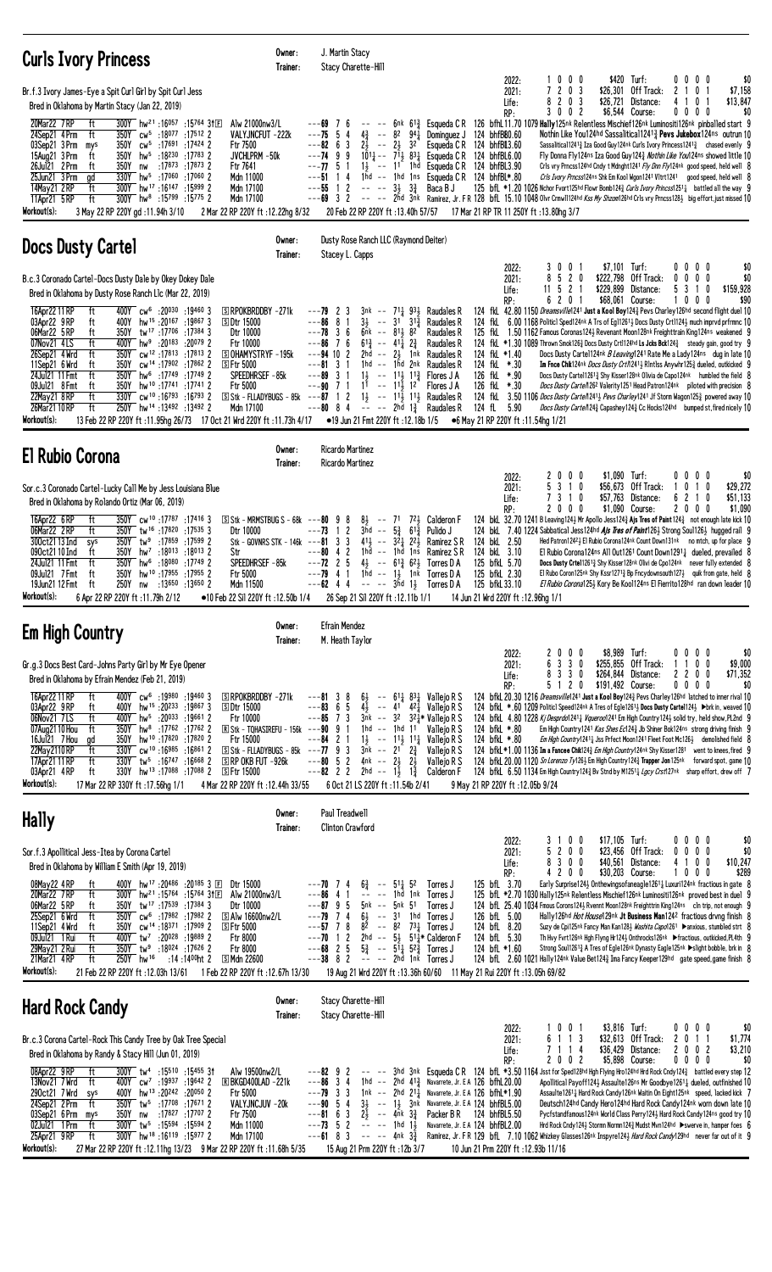| <b>Curls Ivory Princess</b>                                                                                                                                                                                                                                                                                                                                                                                                                                                                                                                                                                                                                                                                                                                                                                                                                                                        | Owner:<br>Trainer:                                                                                                                                                                      | J. Martin Stacy<br>Stacy Charette-Hill                                                                                                                                                                                                                                                                                                                                                                                                                                                                                                                                                    |                                                                                                                                                                                                                                                                                                 |                                                                             |                                                                                                                                                                                                                                                                                                                                                                                                                                                                                                                                                                                                                                                                                                                                                                                                                                                                                                                                                                                                                                                  |
|------------------------------------------------------------------------------------------------------------------------------------------------------------------------------------------------------------------------------------------------------------------------------------------------------------------------------------------------------------------------------------------------------------------------------------------------------------------------------------------------------------------------------------------------------------------------------------------------------------------------------------------------------------------------------------------------------------------------------------------------------------------------------------------------------------------------------------------------------------------------------------|-----------------------------------------------------------------------------------------------------------------------------------------------------------------------------------------|-------------------------------------------------------------------------------------------------------------------------------------------------------------------------------------------------------------------------------------------------------------------------------------------------------------------------------------------------------------------------------------------------------------------------------------------------------------------------------------------------------------------------------------------------------------------------------------------|-------------------------------------------------------------------------------------------------------------------------------------------------------------------------------------------------------------------------------------------------------------------------------------------------|-----------------------------------------------------------------------------|--------------------------------------------------------------------------------------------------------------------------------------------------------------------------------------------------------------------------------------------------------------------------------------------------------------------------------------------------------------------------------------------------------------------------------------------------------------------------------------------------------------------------------------------------------------------------------------------------------------------------------------------------------------------------------------------------------------------------------------------------------------------------------------------------------------------------------------------------------------------------------------------------------------------------------------------------------------------------------------------------------------------------------------------------|
| Br.f.3 Ivory James-Eye a Spit Curl Girl by Spit Curl Jess<br>Bred in Oklahoma by Martin Stacy (Jan 22, 2019)                                                                                                                                                                                                                                                                                                                                                                                                                                                                                                                                                                                                                                                                                                                                                                       |                                                                                                                                                                                         |                                                                                                                                                                                                                                                                                                                                                                                                                                                                                                                                                                                           | 2022:<br>2021:<br>Life:                                                                                                                                                                                                                                                                         | \$420 Turf:<br>1000<br>7 2 0 3<br>\$26,301<br>8 2 0 3<br>\$26,721           | \$0<br>0000<br>\$7,158<br>Off Track:<br>2 1 0 1<br>\$13,847<br>Distance:<br>41<br>0 <sub>1</sub>                                                                                                                                                                                                                                                                                                                                                                                                                                                                                                                                                                                                                                                                                                                                                                                                                                                                                                                                                 |
| 300Y hw <sup>21</sup> :16057 :15764 31E<br>20Mar22 7RP<br>ft<br>ft<br>350Y cw <sup>5</sup> :18 <sup>077</sup> :17 <sup>512</sup> 2<br>24Sep21 4 Prm<br>03Sep21 3 Prm<br>350Y<br>cw <sup>5</sup> :17691:17424 2<br>Ftr 7500<br>mys<br>350Y hw <sup>5</sup> :18 <sup>230</sup> :17783 2<br>15Aug21 3 Prm<br>ft<br>26Jul21 2 Prm<br>350Y<br>:17873 :17873 2<br>Ftr 7641<br>ft<br>nw<br>330Y hw <sup>5</sup> :17060 :17060 2<br>25Jun21 3 Prm<br>ad<br>300Y hw <sup>17</sup> :16147:15999 2<br>14May21 2RP<br>ft<br>ft<br>300Y hw <sup>8</sup> :15 <sup>799</sup> :15 <sup>775</sup> 2<br>11Apr21 5 RP<br>Workout(s):<br>3 May 22 RP 220Y gd: 11.94h 3/10                                                                                                                                                                                                                              | Alw 21000nw3/L<br>VALYJNCFUT -222k<br>JVCHLPRM -50k<br>Mdn 11000<br>Mdn 17100<br>Mdn 17100<br>2 Mar 22 RP 220Y ft : 12.22hg 8/32                                                        | - 6<br>---69<br>$---75.5$<br>$4\frac{3}{4}$ -- 8 <sup>2</sup> 9 <sup>4</sup> $\frac{1}{4}$ Dominguez J<br>-4<br>$2\frac{1}{2}$ -- $2\frac{1}{2}$ 3 <sup>2</sup><br>$---82 \t 6 \t 3$<br>$1\overline{0}$ <sup>1</sup> $\frac{1}{4}$ -- $7\overline{1}$ <sub><math>\frac{1}{2}</math></sub> 8 <sup>3</sup> $\frac{1}{4}$ Esqueda C R<br>$---74$ 9 9<br>$--77.51$<br>$1\frac{1}{2}$ -- 11 1hd Esqueda CR<br>$---51$ 14<br>1hd $-$ 1hd 1ns Esqueda CR<br>$---55$ 1 2<br>$-- -3\frac{1}{2}$ $3\frac{3}{4}$ Baca B J<br>$---69$ 3 2<br>20 Feb 22 RP 220Y ft :13.40h 57/57                       | RP:<br>124 bhfBB0.60<br>Esqueda C R<br>124 bhfBL3.60<br>124 bhfBL6.00<br>124 bhfBL3.90<br>124 bhfBL*.80<br>17 Mar 21 RP TR 11 250Y ft: 13.80hg 3/7                                                                                                                                              | 3 0 0 2                                                                     | \$6,544 Course:<br>$0\ 0\ 0\ 0$<br>\$0<br>6nk 61} Esqueda CR 126 bfhL11.70 1079 Hally125nk Relentless Mischief126nk Luminositi126nk pinballed start 9<br>Nothin Like You124hd Sassalitical12413 Pevs Jukebox124ns outrun 10<br>Sassalitical1241 <sup>3</sup> / <sub>4</sub> Iza Good Guy124nk Curls Ivory Princess1241 <sup>3</sup> / <sub>4</sub> chased evenly 9<br>Fly Donna Fly124ns Iza Good Guy1243 Nothin Like You124ns showed little 10<br>Crls vry Prncss124hd Cndy t Mdnght1241 Fly Dnn Fly124nk good speed, held well 8<br>Crls Ivory Prncss124ns Shk Em Kool Wgon1241 Vltrt1241 good speed, held well 8<br>125 bfl *1.20 1026 Nchor Fvort125hd Flowr Bomb124 $\frac{3}{4}$ Curls Ivory Princss1251 $\frac{1}{4}$ battled all the way 9<br>-- -- 2hd 3nk Ramirez, Jr. FR 128 bfL 15.10 1048 Olvr Crmw11124hd Kss My Shzom126hd Cr1s vry Prncss1283 big effort, just missed 10                                                                                                                                                         |
| <b>Docs Dusty Cartel</b>                                                                                                                                                                                                                                                                                                                                                                                                                                                                                                                                                                                                                                                                                                                                                                                                                                                           | Owner:<br>Trainer:                                                                                                                                                                      | Dusty Rose Ranch LLC (Raymond Deiter)<br>Stacey L. Capps                                                                                                                                                                                                                                                                                                                                                                                                                                                                                                                                  |                                                                                                                                                                                                                                                                                                 |                                                                             |                                                                                                                                                                                                                                                                                                                                                                                                                                                                                                                                                                                                                                                                                                                                                                                                                                                                                                                                                                                                                                                  |
| B.c.3 Coronado Cartel-Docs Dusty Dale by Okey Dokey Dale<br>Bred in Oklahoma by Dusty Rose Ranch Llc (Mar 22, 2019)                                                                                                                                                                                                                                                                                                                                                                                                                                                                                                                                                                                                                                                                                                                                                                |                                                                                                                                                                                         |                                                                                                                                                                                                                                                                                                                                                                                                                                                                                                                                                                                           | 2022:<br>2021:<br>Life:                                                                                                                                                                                                                                                                         | \$7,101 Turf:<br>3001<br>8 5 2 0<br>11 5 2 1<br>\$229,899                   | $0\,0\,0\,0$<br>\$0<br>\$222,798 Off Track:<br>$0\,0\,0\,0$<br>\$0<br>5 3 1 0<br>\$159,928<br>Distance:                                                                                                                                                                                                                                                                                                                                                                                                                                                                                                                                                                                                                                                                                                                                                                                                                                                                                                                                          |
| 400Y cw <sup>6</sup> :20030 :19460 3<br>16Apr22 11 RP<br>ft<br>400Y hw <sup>15</sup> :20167:198673<br>03Apr22 9 RP<br>ft<br><b>SDtr 15000</b><br>06Mar22 5 RP<br>350Y tw <sup>17</sup> :17 <sup>706</sup> :17384 3<br>ft<br>07Nov21 4LS<br>ft<br>400Y<br>hw <sup>9</sup> :20183 :20079 2<br>ft<br>350Y cw <sup>12</sup> :17813:178132<br>26Sep21 4 Wrd<br>11Sep21 6 Wrd<br>350Y cw <sup>14</sup> :17902 :17862 2<br><b>SFtr 5000</b><br>ft<br>350Y hw <sup>6</sup> :17749 :17749 2<br>24Ju121 11 Fmt<br>ft<br>350Y hw <sup>10</sup> :17741:17741 2<br>09Jul21 8 Fmt<br>ft<br><b>Ftr 5000</b><br>22May21 8RP<br>ft<br>330Y cw <sup>10</sup> :16 <sup>793</sup> :16 <sup>793</sup> 2<br>26Mar21 10 RP<br>ft<br>250Y hw <sup>14</sup> :13492:134922<br>Workout(s):<br>1/ 12.18b 1/5 = 11 Jun 21 Fmt 220Y ft :11.95hg 26/73 17 Oct 21 Wrd 220Y ft :11.73h 4/17 = 19 Jun 21 Fmt 220Y ft | <b>SRPOKBRDDBY-271k</b><br>Dtr 10000<br>Ftr 10000<br><b>SOHAMYSTRYF-195k</b><br>SPEEDHRSEF-85k<br>Mdn 17100                                                                             | $3nk - 711931$ Raudales R<br>$---79$ 2 3<br>$---86$ 8 1<br>$3\frac{1}{2}$ -- $31\frac{3}{4}$<br>$---78$ 3 6<br>$6nk$ -- $81\frac{1}{2}$ $82$<br>$6^{13}$ -- $4^{11}$ $2^{3}$<br>$--86$ 7 6<br>2hd -- $2\frac{1}{2}$ 1nk Raudales R<br>$---94$ 10 2<br>$---81 \quad 3 \quad 1$<br>1hd $-$ 1hd 2nk Raudales R<br>$---89$ 3 1<br>$1\frac{1}{2}$ -- $11\frac{1}{2}$ $11\frac{3}{4}$ Flores J A<br>$11 - - 11$ , $12$<br>$---90$ 7 1<br>S Stk - FLLADYBUGS - 85k ---87 1 2 1 $\frac{1}{2}$ -- 11 $\frac{1}{2}$ 11 $\frac{1}{2}$ Raudales R<br>$---80$ 8 4 $---2$ 2hd $1\frac{3}{4}$ Raudales R | RP:<br>Raudales R<br>Raudales R<br>Raudales R<br>124 fkL *1.40<br>124 fkL *.30<br>126 fkL *.90<br>126 fkL *.30<br>Flores J A<br>124 fL 5.90<br>•6 May 21 RP 220Y ft: 11.54hg 1/21                                                                                                               | 6 2 0 1<br>\$68,061 Course:                                                 | \$90<br>1000<br>124 fkl 42.80 1150 Dreamsville1241 Just a Kool Boy1243 Pevs Charley126hd second flight duel 10<br>124 fkl 6.00 1168 Politicl Sped124nk A Trs of Eg112613 Docs Dusty Crt11243 much imprvd prfrmnc 10<br>125 fkl 1.50 1162 Famous Coronas 1243 Revenant Moon128nk Freighttrain King124ns weakened 9<br>124 fkl *1.30 1089 Thrown Smok1263 Docs Dusty Crtl124hd Ls Jcks Bck1243 steady gain, good try 9<br>Docs Dusty Cartel124nk <i>B Leaving</i> 1241 Rate Me a Lady124ns dug in late 10<br>Im Fnce Chik124nk Docs Dusty Crt/12413 RIntlss Anywhr1253 dueled, outkicked 9<br>Docs Dusty Cartel1261 <sup>3</sup> Shy Kisser128nk Olivia de Capo124nk humbled the field 8<br>Docs Dusty Carte/1262 Valerity 1251 Head Patron 124nk piloted with precision 8<br>124 fkl 3.50 1106 Docs Dusty Carte/12413 Pevs Charley1241 Jf Storm Wagon1253 powered away 10<br>Docs Dusty Carte/1243 Capashey 1243 Cc Hocks124hd bumped st, fired nicely 10                                                                                         |
| <b>El Rubio Corona</b>                                                                                                                                                                                                                                                                                                                                                                                                                                                                                                                                                                                                                                                                                                                                                                                                                                                             | Owner:<br>Trainer:                                                                                                                                                                      | <b>Ricardo Martinez</b><br><b>Ricardo Martinez</b>                                                                                                                                                                                                                                                                                                                                                                                                                                                                                                                                        |                                                                                                                                                                                                                                                                                                 |                                                                             |                                                                                                                                                                                                                                                                                                                                                                                                                                                                                                                                                                                                                                                                                                                                                                                                                                                                                                                                                                                                                                                  |
| Sor.c.3 Coronado Cartel-Lucky Call Me by Jess Louisiana Blue<br>Bred in Oklahoma by Rolando Ortiz (Mar 06, 2019)<br>350Y cw <sup>10</sup> :17787 :17416 3<br>16Apr22 6RP<br>ft<br>06Mar22 2RP<br>ft<br>350Y tw <sup>16</sup> :17820 :17535 3<br>300ct21 13 Ind<br>$350Y$ tw <sup>9</sup> :17859 :17599 2<br>sys<br>090ct21 10 Ind<br>350Y hw <sup>7</sup> :18013 :18013 2<br>ft<br>Str<br>24Jul21 11 Fmt<br>350Y hw <sup>6</sup> :18080 :17749 2<br>ft<br>09Jul21 7 Fmt<br>hw <sup>10</sup> :17955:179552<br>350Y<br><b>Ftr 5000</b><br>ft<br>19Jun21 12 Fmt<br>250Y<br>:13650 :13650 2<br>ft<br>nw<br>Workout(s):<br>6 Apr 22 RP 220Y ft: 11.79h 2/12                                                                                                                                                                                                                             | $S$ Stk - MRMSTBUG S - 68k ---80 9 8<br>Dtr 10000<br>Stk - GOVNRS STK - 146 $k$ ---81 3 3<br>SPEEDHRSEF-85k<br>Mdn 11500<br>•10 Feb 22 Sil 220Y ft: 12.50b 1/4                          | $8\frac{1}{2}$ -- 71 7 <sup>2</sup> $\frac{1}{2}$ Calderon F<br>$---73$ 1 2<br>$3hd - - 536613$ Pulido J<br>41 $\frac{1}{2}$ -- 3 <sup>2</sup> $\frac{1}{4}$ 2 <sup>2</sup> $\frac{1}{2}$ Ramirez SR<br>$---80 4 2$<br>1hd -- 1hd 1ns Ramirez SR<br>$---72$ 2 5<br>$4\frac{1}{2}$ -- $61\frac{3}{4}$ $62\frac{1}{2}$ Torres D A<br>1hd $-$ 1 <sup>1</sup> 1nk Torres D A<br>$---79$ 4 1<br>$---62$ 4 4<br>$--- 3\overline{h}d$ 1, Torres D A<br>26 Sep 21 Sil 220Y ft: 12.11b 1/1                                                                                                         | 2022:<br>2021:<br>Life:<br>RP:<br>124 bkL 2.50<br>124 bkL 3.10<br>125 bfkL 5.70<br>125 bfkL 2.30<br>125 bfkL 33.10<br>14 Jun 21 Wrd 220Y ft: 12.96hg 1/1                                                                                                                                        | 2000<br>\$1,090 Turf:<br>5 3 1 0<br>7 3 1 0<br>2000                         | \$0<br>$0\,0\,0\,0$<br>\$56,673 Off Track:<br>\$29,272<br>0 1 0<br>\$57,763 Distance:<br>6 2 1 0<br>\$51,133<br>\$1,090 Course:<br>200<br>\$1,090<br>0<br>124 bkl. 32.70 1241 B Leaving 124 2 Mr Apollo Jess 124 3 Ajs Tres of Paint 124 3 not enough late kick 10<br>124 bkl 7.40 1224 Sabbatical Jess124hd <i>Als Tres of Paint</i> 1264 Strong Soul1264 hugged rail 9<br>Hed Patron12423 El Rubio Corona124nk Count Down131nk no mtch, up for place 9<br>El Rubio Corona124ns All Out1261 Count Down12911 dueled, prevailed 8<br>Docs Dusty Crtel12613 Shy Kisser128nk Olivi de Cpo124nk never fully extended 8<br>El Rubo Coron125nk Shy Kssr12713 Bp Fncydownsouth1273 quik from gate, held $8$<br>El Rubio Corona1253 Kory Be Kool124ns El Fierrito128hd ran down leader 10                                                                                                                                                                                                                                                                |
| <b>Em High Country</b>                                                                                                                                                                                                                                                                                                                                                                                                                                                                                                                                                                                                                                                                                                                                                                                                                                                             | Owner:<br>Trainer:                                                                                                                                                                      | <b>Efrain Mendez</b><br>M. Heath Taylor                                                                                                                                                                                                                                                                                                                                                                                                                                                                                                                                                   |                                                                                                                                                                                                                                                                                                 |                                                                             |                                                                                                                                                                                                                                                                                                                                                                                                                                                                                                                                                                                                                                                                                                                                                                                                                                                                                                                                                                                                                                                  |
| Gr.g.3 Docs Best Card-Johns Party Girl by Mr Eye Opener<br>Bred in Oklahoma by Efrain Mendez (Feb 21, 2019)<br>400Y cw <sup>6</sup> :19980 :19460 3<br>16Apr22 11 RP<br>ft<br>03Apr22 9RP<br>ft<br>400Y hw <sup>15</sup> :20 <sup>233</sup> :198673<br><b>SDtr 15000</b><br>06Nov21 7LS<br>ft<br>400Y hw <sup>5</sup> :20 <sup>033</sup> :19661 2<br>350Y hw <sup>8</sup> :17762 :17762 2<br>07Aug2110 Hou<br>ft<br>16Jul21 7 Hou<br>350Y hw <sup>10</sup> :17820:17820 2<br>ad<br>22May 2110 RP<br>$330Y$ cw <sup>10</sup> :16985:168612<br>ft<br>ft<br>$330Y$ tw <sup>5</sup> :16 <sup>747</sup> :16 <sup>668</sup> 2<br>17Apr21 11 RP<br>330Y hw <sup>13</sup> :17088:170882<br>03Apr21 4RP<br><b>SFtr 15000</b><br>ft<br>Workout(s):<br>17 Mar 22 RP 330Y ft: 17.56hg 1/1                                                                                                      | SRPOKBRDDBY-271k<br>Ftr 10000<br>R Stk - TOHASIREFU - 156k<br>Ftr 15000<br>$S$ Stk - FLLADYBUGS - 85k --- <b>77</b> 9 3<br>$S$ RP OKB FUT $-926k$<br>4 Mar 22 RP 220Y ft : 12.44h 33/55 | $---81 \quad 3 \quad 8$<br>$6\frac{1}{2}$ -- $61\frac{1}{4}$ $83\frac{1}{4}$ Vallejo R S<br>5<br>$4\overline{1}$<br>$---83$<br>6<br>$-$ 41 $4^2$ Vallejo R S<br>$--85$ 7 3<br>$3nk - 32 \t324*$ Vallejo R S<br>$---909$<br>1hd -- 1hd 11<br>-1<br>$---84$ 2 1<br>$1\frac{1}{2}$ -- $11\frac{1}{2}$ 11 Vallejo R S<br>$3nk$ -- $21$ $2\frac{3}{4}$<br>$--80$ 5 2<br>4nk -- $2\frac{1}{2}$ $2\frac{1}{2}$<br>$---82$ 2 2<br>2hd -- $1\frac{1}{2}$ $1\frac{3}{4}$<br>6 Oct 21 LS 220Y ft: 11.54b 2/41                                                                                        | 2022:<br>2021:<br>Life:<br>RP:<br>Valleio R S<br>124 bfkL *.80<br>124 bfkL *.80<br>Vallejo R S<br>Vallejo R S<br>Calderon F<br>9 May 21 RP 220Y ft: 12.05b 9/24                                                                                                                                 | \$8,989 Turf:<br>2000<br>6 3 3 0<br>8 3 3 0<br>\$191,492 Course:<br>5 1 2 0 | \$0<br>$0\,0\,0\,0$<br>\$255,855 Off Track:<br>\$9,000<br>1100<br>\$71,352<br>\$264,844 Distance:<br>2200<br>$0\,0\,0\,0$<br>\$0<br>124 bfkl. 20.30 1216 Dreamsville1241 Just a Kool Boy1243 Pevs Charley126hd latched to inner rival 10<br>124 bfkL *.60 1209 Politicl Speed124nk A Tres of Egle1261 <sub>2</sub> Docs Dusty Cartel124 <sub>2</sub> Dork in, weaved 10<br>124 bfkl 4.80 1228 Kj Desprdo12411 Vqueroo1241 Em High Country1241 solid try, held show, PL2nd 9<br>Em High Country 1241 Kas Shes Ec124 <sup>3</sup> Jb Shiner Bok124ns strong driving finish 9<br>Em High Country12411 Jss Prfect Moon1241 Fleet Foot Mc1261 demolished field 8<br>124 bfkL *1.00 1136 Im a Fancee Chik124 $\frac{3}{4}$ <i>Em High Country</i> 124 <sup>nk</sup> Shy Kisser1281 went to knees, fired 9<br>124 bfkL 20.00 1120 Sn Lorenzo Ty126 <sup>3</sup> Em High Country 124 <sup>3</sup> Trapper Jon 125nk forward spot, game 10<br>124 bfkL 6.50 1134 Em High Country 124 & Bv Stnd by M1251 & <i>Lgcy Crst</i> 127nk sharp effort, drew off 7 |
| <b>Hally</b>                                                                                                                                                                                                                                                                                                                                                                                                                                                                                                                                                                                                                                                                                                                                                                                                                                                                       | Owner:<br>Trainer:                                                                                                                                                                      | Paul Treadwell<br><b>Clinton Crawford</b>                                                                                                                                                                                                                                                                                                                                                                                                                                                                                                                                                 |                                                                                                                                                                                                                                                                                                 |                                                                             |                                                                                                                                                                                                                                                                                                                                                                                                                                                                                                                                                                                                                                                                                                                                                                                                                                                                                                                                                                                                                                                  |
| Sor.f.3 Apollitical Jess-Itea by Corona Cartel<br>Bred in Oklahoma by William E Smith (Apr 19, 2019)<br>400Y hw <sup>17</sup> :20 <sup>486</sup> :20 <sup>185</sup> 3 ⊡<br>08May22 4RP<br>ft<br>20Mar22 7RP<br>ft<br>300Y hw <sup>21</sup> :15 <sup>764</sup> :15 <sup>764</sup> 31E<br>06Mar22 5 RP<br>350Y tw <sup>17</sup> :17539 :17384 3<br>ft<br>25Sep21 6 Wrd<br>ft<br>350Y cw <sup>6</sup> :17982 :17982 2<br>11Sep21 4 Wrd<br>ft<br>350Y cw <sup>14</sup> :18371 :17909 2<br><b>SFtr 5000</b><br>09Jul21 1 Rui<br>ft<br>400Y tw <sup>7</sup> :20028 :19889 2<br>Ftr 8000<br>:18024 :17626 2<br>29May21 2 Rui<br>ft<br>350Y tw <sup>9</sup><br>Ftr 8000<br>21Mar21 4RP<br>$250Y$ hw <sup>16</sup><br>:14 :14 <sup>00</sup> ht 2<br>S Mdn 22600<br>ft<br>Workout(s):<br>21 Feb 22 RP 220Y ft: 12.03h 13/61                                                                  | Dtr 15000<br>Alw 21000nw3/L<br>Dtr 10000<br>$\boxdot$ Alw 16600nw2/L<br>1 Feb 22 RP 220Y ft : 12.67h 13/30                                                                              | $6\frac{3}{8}$ -- $51\frac{1}{8}$ 52<br>---70 7 4<br>---86<br>-4<br>$\sim$ $-$<br>1hd 1nk<br>$- -$<br>$--87$ 9 5<br>5nk -- 5nk 51<br>$--79$ 7 4<br>$6\frac{1}{2}$<br>$\sim$ $-$<br>3 <sup>1</sup><br>$--57$ 7 8<br>82<br>82<br>$\sim$ $-$<br>$---70$ 1 2<br>2hd -- $5\frac{1}{2}$ 51 $\frac{1}{2}$ Calderon F<br>$---68$ 2 5<br>$5\frac{3}{4}$ -- $5\frac{1}{4}$ $5\frac{3}{4}$ Torres J<br>-2 - <sub>2</sub><br>$---38$ 8 2<br>2hd 1nk Torres J                                                                                                                                          | 2022:<br>2021:<br>Life:<br>RP:<br>125 bfL 3.70<br>Torres J<br>Torres J<br>Torres J<br>126 bfL 5.00<br>1hd Torres J<br>$73\frac{1}{4}$ Torres J<br>124 bfL 8.20<br>124 bfL 5.30<br>124 bfL *1.60<br>19 Aug 21 Wrd 220Y ft: 13.36h 60/60 11 May 21 Rui 220Y ft: 13.05h 69/82                      | 3 1 0 0<br>\$17,105 Turf:<br>5 2 0 0<br>8 3 0 0<br>4200<br>\$30,203 Course: | \$0<br>$0\,0\,0\,0$<br>\$0<br>\$23,456 Off Track:<br>$0\ 0\ 0$<br>$^{\circ}$<br>\$40,561 Distance:<br>4 1 0 0<br>\$10,247<br>\$289<br>$0\,$ 0 $\,$ 0 $\,$<br>1<br>Early Surprise124} Onthewingsofaneagle1261} Luxuri124nk fractious in gate 8<br>125 bfL *2.70 1030 Hally125nk Relentless Mischief126nk Luminositi126nk proved best in duel 9<br>124 bfl. 25.40 1034 Fmous Corons1243 Rvennt Moon128nk Freighttrin King124ns cln trip, not enough 9<br>Hally126hd Hot House129nk Jt Business Man1242 fractious drvng finish 8<br>Suzy de Cpi125nk Fancy Man Kan1283 Washita Capo1261 ▶ anxious, stumbled strt 8<br>Th Hvy Fvrt126nk Hgh Flyng Hr1243 Onthrocks126nk Fractious, outkicked, PL4th 9<br>Strong Soul12613 A Tres of Egle126nk Dynasty Eagle125nk ▶slight bobble, brk in 8<br>124 bfl. 2.60 1021 Hally124nk Value Bet1243 Ima Fancy Keeper129hd gate speed, game finish 8                                                                                                                                                             |
| <b>Hard Rock Candy</b>                                                                                                                                                                                                                                                                                                                                                                                                                                                                                                                                                                                                                                                                                                                                                                                                                                                             | Owner:<br>Trainer:                                                                                                                                                                      | Stacy Charette-Hill<br>Stacy Charette-Hill                                                                                                                                                                                                                                                                                                                                                                                                                                                                                                                                                |                                                                                                                                                                                                                                                                                                 |                                                                             |                                                                                                                                                                                                                                                                                                                                                                                                                                                                                                                                                                                                                                                                                                                                                                                                                                                                                                                                                                                                                                                  |
| Br.c.3 Corona Cartel-Rock This Candy Tree by Oak Tree Special<br>Bred in Oklahoma by Randy & Stacy Hill (Jun 01, 2019)<br>08Apr22 9RP<br>ft<br>300Y tw <sup>4</sup> :15510 :15455 31<br>13Nov21 7 Wrd<br>ft<br>400Y cw <sup>7</sup> :19937 :19642 2<br>290ct21 7 Wrd<br>400Y hw <sup>13</sup> :20 <sup>242</sup> :20 <sup>050</sup> 2<br>Ftr 5000<br>sys<br>24Sep21 2 Prm<br>350Y tw <sup>5</sup> :17708 :17671 2<br>ft<br>03Sep21 6 Prm<br>:17827 :17707 2<br>Ftr 7500<br>350Y nw<br>mys<br>02Jul21 1 Prm<br>ft<br>300Y tw <sup>5</sup> :15594 :15594 2<br>ft<br>300Y hw <sup>18</sup> :16119 :15977 2<br>25Apr21 9RP<br>Workout(s):<br>27 Mar 22 RP 220Y ft: 12.11hg 13/23 9 Mar 22 RP 220Y ft: 11.68h 5/35                                                                                                                                                                      | Alw 19500nw2/L<br><b>E BKGD400LAD -221k</b><br>VALYJNCJUV -20k<br>Mdn 11000<br>Mdn 17100                                                                                                | $---82$ 9 2<br>$---86$ 3 4<br>$---79$ 3 3<br>$--90$ 5 4<br>3<br>$2\overline{2}$<br>$--$ 4nk $3\frac{3}{4}$<br>$---816$<br>$---73$ 5 2<br>-- -- 1hd 1 <del>,</del><br>$---61$ 8 3<br>$---$ 4nk $3\frac{3}{4}$<br>15 Aug 21 Prm 220Y ft: 12b 3/7                                                                                                                                                                                                                                                                                                                                            | 2022:<br>2021:<br>Life:<br>RP:<br>1hd -- 2hd 413 Navarrete, Jr. EA 126 bfhL20.00<br>1nk $-$ 2hd 211 Navarrete, Jr. E A 126 bfhl.*1.90<br>31 -- 11 3nk Navarrete, Jr. EA 124 bhfBL5.00<br>Packer B R<br>124 bhfBL5.50<br>Navarrete, Jr. E A 124 bhfBL2.00<br>10 Jun 21 Prm 220Y ft: 12.93b 11/16 | \$3,816 Turf:<br>1001<br>6 1 1 3<br>7 1 1 4<br>2002                         | \$0<br>$0\,0\,0\,0$<br>\$32,613 Off Track:<br>2 0 1 1<br>\$1,774<br>\$36,429 Distance:<br>2 0 0 2<br>\$3,210<br>\$5,898 Course:<br>\$0<br>$0\,0\,0\,0$<br>-- -- 3hd 3nk Esqueda CR 124 bfl *3.50 1164 Jsst for Sped128hd Hgh Flying Hro124hd Hrd Rock Cndy124} battled every step 12<br>Apollitical Payoff124} Assaulte126ns Mr Goodbye12611 dueled, outfinished 10<br>Assaulte12611 Hard Rock Candy126nk Waitin On Eight125nk speed, lacked kick 7<br>Deutsch124hd Candy Hero124hd Hard Rock Candy124nk worn down late 10<br>Pycfstandfamous124nk World Class Perry1241 Hard Rock Candy124ns good try 10<br>Hrd Rock Cndy124½ Stormn Normn124½ Mudst Mvn124hd ▶swerve in, hamper foes 6<br>Ramirez, Jr. FR 129 bfL 7.10 1062 Whizkey Glasses126nk Inspyre1243 Hard Rock Candy129hd never far out of it 9                                                                                                                                                                                                                                        |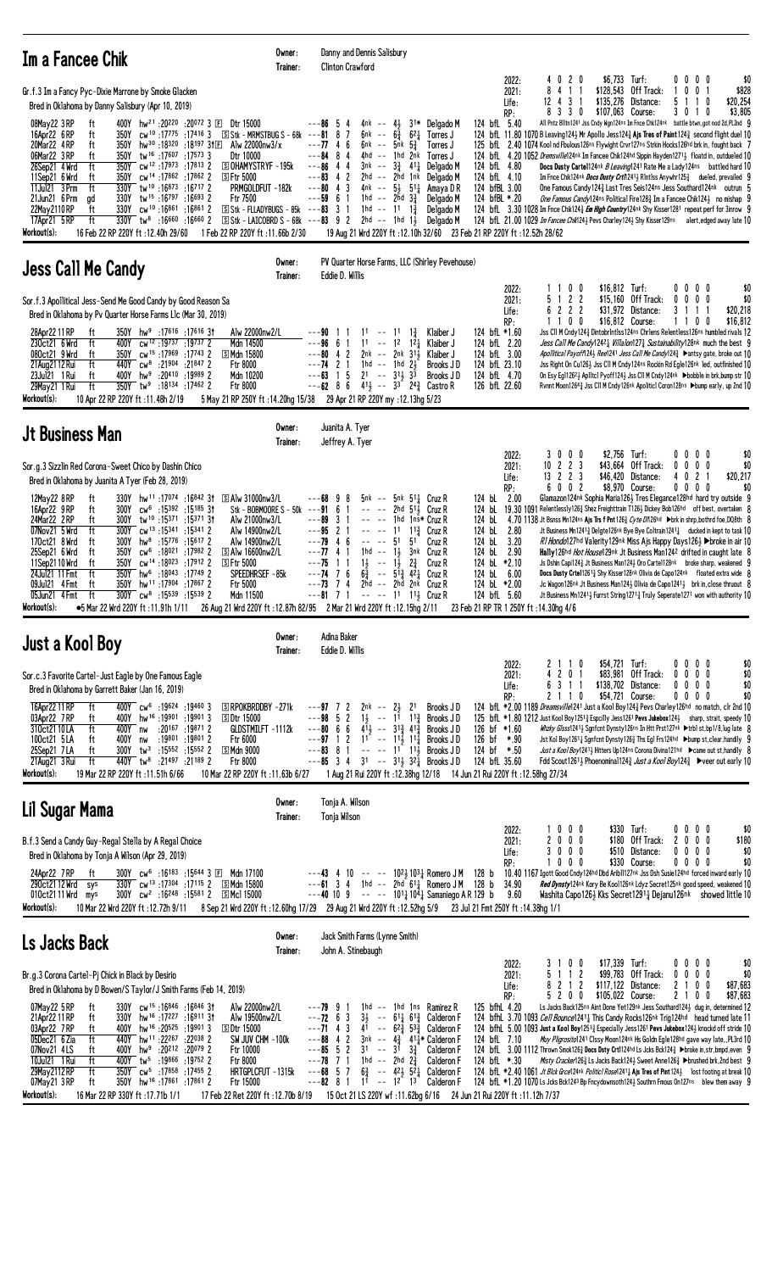| Im a Fancee Chik                                                                                                                                                                                                                                                                                                                                                                                                                                                                                                                                                                                                                                                                                                                                                                                                                                                                                                                                                                                                                                                                                                                     | Owner:<br>Trainer: | Danny and Dennis Salisbury<br><b>Clinton Crawford</b>                                                                                                                                                                                                                                                                                                                                                                                                                                                                                                                                                                                                                                                                                                                                                                                                                                                                                                                                                                                                                                                                                                                                                                                                                                                                                                                                                                                                                                                                                                                                                                                                                                                                                                                                                                                                                                                                                                                                                                                                                                                                  |
|--------------------------------------------------------------------------------------------------------------------------------------------------------------------------------------------------------------------------------------------------------------------------------------------------------------------------------------------------------------------------------------------------------------------------------------------------------------------------------------------------------------------------------------------------------------------------------------------------------------------------------------------------------------------------------------------------------------------------------------------------------------------------------------------------------------------------------------------------------------------------------------------------------------------------------------------------------------------------------------------------------------------------------------------------------------------------------------------------------------------------------------|--------------------|------------------------------------------------------------------------------------------------------------------------------------------------------------------------------------------------------------------------------------------------------------------------------------------------------------------------------------------------------------------------------------------------------------------------------------------------------------------------------------------------------------------------------------------------------------------------------------------------------------------------------------------------------------------------------------------------------------------------------------------------------------------------------------------------------------------------------------------------------------------------------------------------------------------------------------------------------------------------------------------------------------------------------------------------------------------------------------------------------------------------------------------------------------------------------------------------------------------------------------------------------------------------------------------------------------------------------------------------------------------------------------------------------------------------------------------------------------------------------------------------------------------------------------------------------------------------------------------------------------------------------------------------------------------------------------------------------------------------------------------------------------------------------------------------------------------------------------------------------------------------------------------------------------------------------------------------------------------------------------------------------------------------------------------------------------------------------------------------------------------------|
| Gr.f.3 Im a Fancy Pyc-Dixie Marrone by Smoke Glacken<br>Bred in Oklahoma by Danny Salisbury (Apr 10, 2019)<br>08May22 3RP<br>400Y hw <sup>21</sup> :20 <sup>220</sup> :20 <sup>072</sup> 3 E Dtr 15000<br>ft<br>16Apr22 6RP<br>$350Y$ cw <sup>10</sup> :17775:17416 3 Stk - MRMSTBUG S - 68k<br>ft<br>20Mar22 4RP<br>350Y hw <sup>30</sup> :18320:18197 31El Alw 22000nw3/x<br>ft<br>06Mar22 3RP<br>tw <sup>16</sup> :17 <sup>607</sup> :17 <sup>573</sup> 3<br>Dtr 10000<br>ft<br>350Y<br><b>SOHAMYSTRYF-195k</b><br>26Sep21 4 Wrd<br>ft<br>350Y cw <sup>12</sup> :17973:17813 2<br>11Sep21 6 Wrd<br>350Y<br>cw <sup>14</sup> :17862:178622<br><b>SFtr 5000</b><br>ft<br>11Jul21 3 Prm<br>330Y tw <sup>10</sup> :16873:16717 2<br>ft<br>PRMGOLDFUT -182k<br>330Y tw <sup>15</sup> :16 <sup>797</sup> :16 <sup>693</sup> 2<br>21Jun21 6 Prm<br>Ftr 7500<br>ad<br>$330Y$ cw <sup>10</sup> :16861:168612<br>22May 2110 RP<br>ft<br>17Apr21 5 RP<br>ft<br>$330Y$ tw <sup>8</sup> :16 <sup>660</sup> :16 <sup>660</sup> 2<br>Workout(s):<br>16 Feb 22 RP 220Y ft :12.40h 29/60<br>1 Feb 22 RP 220Y ft :11.66b 2/30                       |                    | 4 0 2 0<br>\$6,733 Turf:<br>\$(<br>0000<br>2022:<br>\$828<br>8 4 1 1<br>\$128,543 Off Track:<br>2021:<br>$0 \t0 \t1$<br>12 4 3 1<br>\$135,276 Distance:<br>\$20.254<br>5 1 1 0<br>Life:<br>\$3,805<br>RP:<br>8 3 3 0<br>\$107,063 Course:<br>3 0 1 0<br>All Pntz Blltn1241 Jss Cndy Wgn124ns Im Fnce Chk124nk battle btwn, got nod 2d, PL2nd G<br>$---86$ 5<br>4nk -- $4\frac{1}{2}$<br>31* Delgado M<br>124 bfL 5.40<br>-4<br>87<br>$6\frac{3}{4}$ 6 <sup>2</sup> $\frac{1}{4}$ Torres J<br>124 bfl 11.80 1070 B Leaving 1243 Mr Apollo Jess 124 $\frac{3}{4}$ Ajs Tres of Paint 124 $\frac{3}{4}$ second flight duel 10<br>---81<br>6nk --<br>$---7746$<br>6nk -- 5nk $5\frac{3}{4}$<br>125 bfl 2.40 1074 Kool nd Fbulous126ns Flywight Crvr127ns Strkin Hocks126hd brk in, fought back 7<br>Torres J<br>$---84$ 8 4<br>4hd -- 1hd 2nk<br>Torres J<br>124 bfl. 4.20 1052 <i>Dremsville</i> 124nk Im Fancee Chik124hd Sippin Hayden12713 floatd in, outdueled 10<br>$--86$ 4 4<br>$3nk - 3\frac{3}{4}$ 411 Delgado M<br>124 bfL 4.80<br>Docs Dusty Cartel124nk <i>B Leaving</i> 1241 Rate Me a Lady124ns battled hard 1<br>2hd -- 2hd 1nk Delgado M<br>$---83$ 4 2<br>124 bfL 4.10<br>Im Fnce Chik124nk <i>Docs Dusty Crti</i> 1241 <sub>2</sub> Rintiss Anywhr125 $\frac{3}{4}$ dueled, prevailed 9<br>$--80$ 4 3<br>4nk -- $5\frac{1}{2}$ 5 <sup>1</sup> $\frac{1}{4}$ Amaya D R<br>124 bfBL 3.00<br>One Famous Candy 124 & Last Tres Seis124ns Jess Southard 124nk outrun 5<br>$---59$ 6 1<br>1hd -- 2hd $3\frac{3}{4}$<br>124 bfBL *.20<br>Delgado M<br>One Famous Candy124ns Political Fire128 <sup>3</sup> Im a Fancee Chik1243 no mishap 9<br>$S$ Stk - FLLADYBUGS - 85k ---83 3 1<br>1hd -- 11 1 $\frac{3}{7}$<br>124 bfl. 3.30 1028 Im Fnce Chik1243 <i>Em High Country</i> 124nk Shy Kisser1281 repeat perf for 3inrow 9<br>Delgado M<br>124 bfl 21.00 1029 Im Fancee Chik124} Pevs Charley124} Shy Kisser129ns alert, edged away late 10<br>$\boxed{5}$ Stk - LAICOBRD S - 68k ---83 9 2 2hd -- 1hd 1 $\frac{1}{2}$<br>Delgado M<br>19 Aug 21 Wrd 220Y ft: 12.10h 32/60 23 Feb 21 RP 220Y ft: 12.52h 28/62 |
| <b>Jess Call Me Candy</b>                                                                                                                                                                                                                                                                                                                                                                                                                                                                                                                                                                                                                                                                                                                                                                                                                                                                                                                                                                                                                                                                                                            | Owner:<br>Trainer: | PV Quarter Horse Farms, LLC (Shirley Pevehouse)<br>Eddie D. Willis                                                                                                                                                                                                                                                                                                                                                                                                                                                                                                                                                                                                                                                                                                                                                                                                                                                                                                                                                                                                                                                                                                                                                                                                                                                                                                                                                                                                                                                                                                                                                                                                                                                                                                                                                                                                                                                                                                                                                                                                                                                     |
| Sor.f.3 Apollitical Jess-Send Me Good Candy by Good Reason Sa<br>Bred in Oklahoma by Pv Quarter Horse Farms L1c (Mar 30, 2019)<br>28Apr22 11 RP<br>$350Y$ hw <sup>9</sup> :17616 :17616 31<br>Alw 22000nw2/L<br>ft<br>400Y cw <sup>12</sup> :19737:19737 2<br>230ct21 6 Wrd<br>ft<br>Mdn 14500<br>350Y cw <sup>15</sup> :17969 :17743 2<br>S Mdn 15800<br>080ct21 9 Wrd<br>ft<br>21 Aug 21 12 Rui<br>ft<br>2 21904 21847: 440Y cw <sup>8</sup> :21904<br>Ftr 8000<br>23Jul21 1 Rui<br>400Y hw <sup>9</sup> :20410 :19989 2<br>Mdn 10200<br>ft<br>ft<br>350Y tw <sup>9</sup> :18134 :17462 2<br>29May21 1 Rui<br>Ftr 8000<br>Workout(s):<br>10 Apr 22 RP 220Y ft: 11.48h 2/19                                                                                                                                                                                                                                                                                                                                                                                                                                                         |                    | \$16,812 Turf:<br>0 <sub>0</sub><br>0000<br>\$(<br>2022:<br>1 1<br>5 1 2 2<br>\$15,160 Off Track:<br>$0\ 0\ 0\ 0$<br>\$(<br>2021:<br>6 2 2 2<br>\$20,218<br>$$31,972$ Distance:<br>3 1 1 1<br>Life:<br>1100<br>\$16,812<br>\$16,812 Course:<br>1100<br>RP:<br>Klaiber J<br>124 bfL *1.60<br>Jss C11 M Cndy 1243 Dintobr1nt1ss124ns Chr1ens Relent1ess126ns humbled rivals 12<br>$11 - -$<br>1 <sup>1</sup><br>$1\frac{3}{4}$<br>---90 11<br>$11 - -$<br>1 <sup>2</sup> 1 <sup>2</sup> <sup>1</sup> Klaiber J<br><i>Jess Call Me Candy</i> 124 <sup>2</sup> <i>Willalon</i> 127 <i>2 Sustainability</i> 128 <sup>nk</sup> much the best 9<br>$---96661$<br>124 bfL 2.20<br>$---80$ 4 2<br>$2nk$ -- $2nk$ $31\frac{1}{2}$ Klaiber J<br>124 bfL 3.00<br>Apollitical Payoff\24} Ree\241 Jess Call Me Candy\24} > antsy gate, broke out 1(<br>124 bfL 23.10<br>$---74$ 2 1<br>1hd -- 1hd $2\frac{1}{2}$<br>Brooks JD<br>Jss Right On Cu126} Jss C11 M Cndy124ns Rockin Rd Egle126nk led, outfinished 1<br>$---63$ 1 5 21 -- 31 33<br>124 bfL 4.70<br>On Esy Eg112623 Ap11tcl Pyoff1243 Jss C11 M Cndy124nk Dbobble in brk, bump str 1<br>Brooks JD<br>$-$ --62 8 6 $4^{11}$ -- 3 <sup>3</sup> $2^{4}$ 2 <sup>4</sup> Castro R<br>126 bfL 22.60<br>Rvnnt Moon1264 <sub>3</sub> Jss C11 M Cndy126 <sup>nk</sup> Apolitic1 Coron128ns ▶bump early, up 2nd 1 (<br>5 May 21 RP 250Y ft:14.20hg 15/38 29 Apr 21 RP 220Y my:12.13hg 5/23                                                                                                                                                                                                                                                                                                                                                                                                                                                                                                                                                                                                                                                                                           |
| <b>Jt Business Man</b>                                                                                                                                                                                                                                                                                                                                                                                                                                                                                                                                                                                                                                                                                                                                                                                                                                                                                                                                                                                                                                                                                                               | Owner:<br>Trainer: | Juanita A. Tyer<br>Jeffrey A. Tyer                                                                                                                                                                                                                                                                                                                                                                                                                                                                                                                                                                                                                                                                                                                                                                                                                                                                                                                                                                                                                                                                                                                                                                                                                                                                                                                                                                                                                                                                                                                                                                                                                                                                                                                                                                                                                                                                                                                                                                                                                                                                                     |
| Sor.g.3 Sizzlin Red Corona-Sweet Chico by Dashin Chico<br>Bred in Oklahoma by Juanita A Tyer (Feb 28, 2019)<br>12May22 8RP<br>330Y hw <sup>11</sup> :17074 :16842 31<br><b>SAlw 31000nw3/L</b><br>ft<br>300Y cw <sup>6</sup> :15392 :15185 31<br>16Apr22 9RP<br>ft<br>Stk - BOBMOORE S - 50k<br>24Mar22 2RP<br>300Y tw <sup>10</sup> :15371:1537131<br>Alw 21000nw3/L<br>ft<br>07Nov21 5 Wrd<br>ft<br>$300Y$ cw <sup>13</sup> :15341:15341 2<br>Alw 14900nw2/L<br>hw <sup>8</sup> :15 <sup>776</sup> :15 <sup>617</sup> 2<br>170ct21 8 Wrd<br>ft<br>300Y<br>Alw 14900nw2/L<br>350Y cw <sup>6</sup> :18021 :17982 2<br>$\boxdot$ Alw 16600nw2/L<br>25Sep21 6 Wrd<br>ft<br>11Sep2110 Wrd<br>350Y<br>cw <sup>14</sup> :18023 :17912 2<br><b>SFtr 5000</b><br>ft<br>350Y hw <sup>6</sup> :18043 :17749 2<br>SPEEDHRSEF-85k<br>24Jul21 11 Fmt<br>ft<br>09Jul21 4 Fmt<br>350Y hw <sup>11</sup> :17904 :17867 2<br>Ftr 5000<br>ft<br>05Jun21 4 Fmt<br>ft<br>$300Y$ cw <sup>8</sup> :15539 :15539 2<br>Mdn 11500<br>Workout(s):<br>●5 Mar 22 Wrd 220Y ft :11.91h 1/11 26 Aug 21 Wrd 220Y ft :12.87h 82/95 2 Mar 21 Wrd 220Y ft :12.15hg 2/11 |                    | \$2,756 Turf:<br>3000<br>0000<br>\$(<br>2022:<br>$10 \t2 \t2 \t3$<br>\$43,664 Off Track:<br>$0\ 0\ 0\ 0$<br>\$(<br>2021:<br>13 2 2 3<br>\$46,420 Distance:<br>4 0 2 1<br>\$20,217<br>Life:<br>6002<br>\$8,970 Course:<br>$0\ 0\ 0\ 0$<br>\$(<br>RP:<br>$5nk$ $51\frac{1}{k}$ Cruz R<br>124 bL<br>2.00<br>Glamazon124nk Sophia Maria1263 Tres Elegance128hd hard try outside 9<br>---68 9<br>5nk --<br>8<br>$---91$ 6 1<br>2hd $51\frac{1}{2}$ Cruz R<br>124 bL<br>19.30 1091 Relentlessly126 $\frac{3}{4}$ Shez Freighttrain T126 $\frac{1}{2}$ Dickey Bob126hd off best, overtaken $\{$<br>$\sim$ $ \sim$ $\sim$<br>$---89$ 3 1<br>1hd 1ns* Cruz R<br>124 bL<br>4.70 1138 Jt Bsnss Mn124ns Ajs Trs f Pnt126 <sub>4</sub> Cyte D7126hd →brk in shrp, bothrd foe, DQ8th {<br>124 bL<br>$---95$ 2 1<br>11 11 <sup>3</sup> Cruz R<br>2.80<br>Jt Business Mn12413 Delgte126nk Bye Bye Coltrain12411 ducked in kept to task 1<br>51<br>124 bL<br>$---79$ 4 6<br>$\sim$ $ \sim$ $\sim$<br>51<br>Cruz R<br>3.20<br>RI Hondo127hd Valerity129nk Miss Ais Happy Days126} > broke in air 10<br>124 bL<br>2.90<br>---77 4 1<br>1hd $-$ 1, $\frac{1}{2}$ 3nk Cruz R<br><b>Hally</b> 126hd <i>Hot House</i> 129nk Jt Business Man1242 drifted in caught late {<br>$1\frac{1}{2}$ --<br>$1\frac{1}{2}$ $2\frac{3}{4}$<br>124 bL *2.10<br>---75<br>1 1<br>Js Dshin Capi1243 Jt Business Man1243 Oro Carte1128nk broke sharp, weakened G<br>Cruz R<br>$6\frac{5}{4}$ -- $5\frac{13}{4}$ $4\frac{21}{4}$ Cruz R<br>$--74$ 7 6<br>124 bL<br>6.00<br>Docs Dusty Crtel12613 Shy Kisser128nk Olivia de Capo124nk floated extra wide {<br>2nd -- 2nd 2nk Cruz R<br>124 bL *2.00<br>$---73$ 7 4<br>Jc Wagon126nk Jt Business Man1243 Olivia de Capo12413 brk in, close thruout {<br>$--81$ 7 1<br>$--- 11113$ Cruz R<br>124 bfL 5.60<br>Jt Business Mn12411 Furrst String12713 Truly Seperate1271 won with authority 10<br>23 Feb 21 RP TR 1 250Y ft : 14.30hg 4/6                                                                                                                                                                            |
| Just a Kool Boy                                                                                                                                                                                                                                                                                                                                                                                                                                                                                                                                                                                                                                                                                                                                                                                                                                                                                                                                                                                                                                                                                                                      | Owner:             | Adina Baker                                                                                                                                                                                                                                                                                                                                                                                                                                                                                                                                                                                                                                                                                                                                                                                                                                                                                                                                                                                                                                                                                                                                                                                                                                                                                                                                                                                                                                                                                                                                                                                                                                                                                                                                                                                                                                                                                                                                                                                                                                                                                                            |
| Sor.c.3 Favorite Cartel-Just Eagle by One Famous Eagle<br>Bred in Oklahoma by Garrett Baker (Jan 16, 2019)<br>16Apr22 11 RP<br>ft<br>400Y cw <sup>6</sup> :19624 :19460 3<br>SRPOKBRDDBY-271k<br>400Y hw <sup>16</sup> :19901:199013<br>03Apr22 7RP<br>ft<br><b>SDtr 15000</b><br>400Y nw :20167 :19871 2<br>310ct21 10 LA<br>ft<br>GLDSTMILFT -1112k<br>:19801 :19801 2<br>100ct21 5LA<br>Ftr 6000<br>400Y nw<br>ft<br>25Sep21 7LA<br>300Y tw <sup>3</sup> :15552 :15552 2<br>ි Mdn 9000<br>ft<br>140Y tw <sup>8</sup> :21497 :21189 2<br>21Aug21 3 Rui<br>ft<br>Ftr 8000<br>Workout(s):<br>19 Mar 22 RP 220Y ft:11.51h 6/66<br>10 Mar 22 RP 220Y ft: 11.63b 6/27                                                                                                                                                                                                                                                                                                                                                                                                                                                                   | Trainer:           | Eddie D. Willis<br>\$54,721 Turf:<br>0 0 0 0<br>2022:<br>2 1 1 0<br>\$(<br>4 2 0 1<br>\$83,981 Off Track:<br>$0\quad 0\quad 0\quad 0$<br>\$(<br>2021:<br>\$(<br>6 3 1 1<br>\$138,702 Distance:<br>$0\,0\,0\,0$<br>Life:<br>\$54,721 Course:<br>\$(<br>2110<br>$0\,0\,0\,0$<br>RP:<br>$2nk$ -- $2\frac{1}{2}$ 21<br>124 bfL *2.00 1189 Dreamsville1241 Just a Kool Boy1243 Pevs Charley126hd no match, clr 2nd 10<br>---97 7 2<br>Brooks JD<br>$---98$ 5 2<br>$1\frac{1}{2}$ -- $1^{\frac{1}{2}}$ $1^{\frac{3}{4}}$<br>Brooks JD<br>125 bfl *1.80 1212 Just Kool Boy1251 <sup>3</sup> Espcilly Jess1261 Pevs Jukebox124 <sup>3</sup> sharp, strait, speedy 10<br>$---80$ 6 6<br>$4\overline{1}$ <sub>3</sub> -- $3\overline{1}$ <sub>3</sub> $4\overline{1}$ <sub>3</sub><br>126 bf *1.60<br>Whzky Glsss12411 Sgnfcnt Dynsty126ns In Htt Prst127nk >trb1 st,bp1/8,lug late {<br>Brooks J D<br>$--97$ 1 2 1 <sup>2</sup> $-11\frac{1}{2}$ 11 <sup>2</sup><br>126 bf *.90<br>Brooks J D<br>Jst Kol Boy12611 Sgnfcnt Dynsty1263 Ths Egl Frs124hd ▶bump st, clear, handily 9<br>$---83$ 8 1 -- -- 11 11 $\frac{1}{2}$<br>124 bf *.50<br>Brooks J D<br>Just a Kool Boy12413 Hitters Up124ns Corona Divina121hd Came out st, handily {<br>$--85$ 3 4 31 $--31\frac{1}{2}$ 3 <sup>2</sup> / <sub>4</sub> Brooks J D<br>124 bfL 35.60<br>Fdd Scout12611 Phoenominal124 $\frac{3}{4}$ Just a Kool Boy124 $\frac{3}{4}$ $\blacktriangleright$ veer out early 10<br>1 Aug 21 Rui 220Y ft : 12.38hg 12/18 14 Jun 21 Rui 220Y ft : 12.58hg 27/34                                                                                                                                                                                                                                                                                                                                                                                                                                                                                                                                                                                     |
| Lil Sugar Mama                                                                                                                                                                                                                                                                                                                                                                                                                                                                                                                                                                                                                                                                                                                                                                                                                                                                                                                                                                                                                                                                                                                       | Owner:<br>Trainer: | Tonja A. Wilson<br>Tonja Wilson                                                                                                                                                                                                                                                                                                                                                                                                                                                                                                                                                                                                                                                                                                                                                                                                                                                                                                                                                                                                                                                                                                                                                                                                                                                                                                                                                                                                                                                                                                                                                                                                                                                                                                                                                                                                                                                                                                                                                                                                                                                                                        |
| B.f.3 Send a Candy Guy-Regal Stella by A Regal Choice<br>Bred in Oklahoma by Tonja A Wilson (Apr 29, 2019)<br>300Y cw <sup>6</sup> :16 <sup>183</sup> :15644 3 E Mdn 17100<br>24Apr22 7RP<br>ft<br>330Y cw <sup>13</sup> :17304 :17115 2 SMdn 15800<br>$290ct2112$ Wrd sys<br>300Y cw <sup>2</sup> :16 <sup>248</sup> :15 <sup>581</sup> 2 SMcl 15000<br>010ct2111 Wrd mys<br>Workout(s):<br>10 Mar 22 Wrd 220Y ft: 12.72h 9/11                                                                                                                                                                                                                                                                                                                                                                                                                                                                                                                                                                                                                                                                                                      |                    | 1000<br>\$330 Turf:<br>\$(<br>2022:<br>$0\ 0\ 0\ 0$<br>2000<br>\$180 Off Track:<br>2000<br>\$180<br>2021:<br>3000<br>\$510 Distance:<br>$0\ 0\ 0\ 0$<br>\$(<br>Life:<br>\$(<br>1000<br>\$330 Course:<br>$0\ 0\ 0\ 0$<br>RP:<br>10.40 1167 Igott Good Cndy124hd Dbd Arib11127nk Jss Dsh Susie124hd forced inward early 10<br>$---43$ 4 10 $---$ 10 <sup>21</sup> / <sub>2</sub> 10 <sup>3</sup> / <sub>4</sub> Romero JM 128 b<br>$---61$ 3 4 1hd $---2$ hd 61 $\frac{1}{4}$ Romero JM 128 b<br>34.90<br>Red Dynstyl 24nk Kory Be Kool126nk Ldyz Secret125nk good speed, weakened 10<br>---40 10 9 -- -- 10 <sup>11</sup> / <sub>4</sub> 10 <sup>4</sup> / <sub>4</sub> Samaniego A R 129 b 9.60<br>Washita Capo1263 Kks Secret12911 Dejanu126nk showed little 10<br>8 Sep 21 Wrd 220Y ft:12.60hg 17/29 29 Aug 21 Wrd 220Y ft:12.52hg 5/9 23 Jul 21 Fmt 250Y ft:14.38hg 1/1                                                                                                                                                                                                                                                                                                                                                                                                                                                                                                                                                                                                                                                                                                                                                                                                                                                                                                                                                                                                                                                                                                                                                                                                                                             |
| Ls Jacks Back                                                                                                                                                                                                                                                                                                                                                                                                                                                                                                                                                                                                                                                                                                                                                                                                                                                                                                                                                                                                                                                                                                                        | Owner:<br>Trainer: | Jack Smith Farms (Lynne Smith)<br>John A. Stinebaugh                                                                                                                                                                                                                                                                                                                                                                                                                                                                                                                                                                                                                                                                                                                                                                                                                                                                                                                                                                                                                                                                                                                                                                                                                                                                                                                                                                                                                                                                                                                                                                                                                                                                                                                                                                                                                                                                                                                                                                                                                                                                   |
| Br.g.3 Corona Cartel-Pj Chick in Black by Desirio<br>Bred in Oklahoma by D Bowen/S Taylor/J Smith Farms (Feb 14, 2019)<br>07May22 5RP<br>ft<br>330Y cw <sup>15</sup> :16846:1684631<br>Alw 22000nw2/L<br>330Y hw <sup>16</sup> :17227:169113t<br>Alw 19500nw2/L<br>21Apr22 11 RP<br>ft<br>03Apr22 7RP<br>ft<br>400Y hw <sup>16</sup> :20 <sup>525</sup> :199013<br><b>SDtr 15000</b><br>05Dec21 6 Zia<br>ft<br>440Y hw <sup>11</sup> :22 <sup>267</sup> :22038 2<br>SW JUV CHM -100k<br>07Nov21 4LS<br>400Y hw <sup>9</sup> :20 <sup>212</sup> :20 <sup>079</sup> 2<br>Ftr 10000<br>ft<br>10Jul21 1 Rui<br>ft<br>400Y tw <sup>5</sup> :19866 :19752 2<br>Ftr 8000<br>29May 2112 RP<br>ft<br>350Y cw <sup>5</sup> :17858 :17455 2<br>HRTGPLCFUT -1315k<br>350Y hw <sup>16</sup> :17861:178612<br>07May 21 3 RP<br>ft<br>Ftr 15000<br>Workout(s):<br>16 Mar 22 RP 330Y ft: 17.71b 1/1<br>17 Feb 22 Ret 220Y ft: 12.70b 8/19                                                                                                                                                                                                            |                    | 3 1 0 0<br>\$17,339 Turf:<br>$0\ 0\ 0\ 0$<br>\$(<br>2022:<br>5 1 1 2<br>\$99,783 Off Track:<br>$0\ 0\ 0\ 0$<br>\$(<br>2021:<br>8 2 1 2<br>\$117,122 Distance:<br>2 1 0 0<br>\$87,683<br>Life:<br>5200<br>\$105,022 Course:<br>2 1 0 0<br>\$87,683<br>RP:<br>1hd -- 1hd 1ns Ramirez R<br>125 bfhl 4.20<br>Ls Jacks Back125ns Aint Done Yet129nk Jess Southard1243 dug in, determined 12<br>---79 9 1<br>$3\frac{1}{2}$ -- $61\frac{1}{4}$ $61\frac{3}{4}$ Calderon F<br>$---72$ 6 3<br>124 bfhl. 3.70 1093 Cell Bounce12414 This Candy Rocks126nk Trig124hd head turned late 11<br>$---71$ 4 3<br>41 -- $6^{2}\frac{3}{4}$ 5 <sup>3</sup> / <sub>2</sub> Calderon F<br>124 bfhl 5.00 1093 Just a Kool Boy12513 Especially Jess1261 Pevs Jukebox1243 knockd off stride 1<br>$---88$ 4 2<br>3nk -- $4\frac{3}{4}$ 41 $\frac{1}{4}$ Calderon F<br>124 bfL 7.10<br>Muy Pligrosito1241 Clssy Moon124nk Hs Goldn Egle128hd gave way late, PL3rd 10<br>$--85$ 5 2<br>$31 - 31 \ \frac{33}{4}$<br>Calderon F<br>124 bfL 3.00 1112 Thrown Smok1263 Docs Dsty Crt1124hd Ls Jcks Bck1243 ▶broke in, str, bmpd, even 9<br>$---78$ 7 1<br>1hd -- 2hd $2\frac{3}{4}$<br>Calderon F<br>124 bfL *.30<br>Misty Cracker126 $\frac{3}{4}$ Ls Jacks Back124 $\frac{1}{2}$ Sweet Anne126 $\frac{3}{4}$ Dbrushed brk, 2nd best 9<br>$6\frac{3}{4}$ -- $42\frac{1}{2}$ $52\frac{1}{4}$ Calderon F<br>124 bfl *2.40 1061 Jt Blck Grce124nk Politic1 Rose12411 Ajs Tres of Pint 1241 lost footing at break 10<br>$--68$ 5 7<br>$- - 12^{2} 13$<br>$---82$ 8 1<br>11<br>124 bfL *1.20 1070 Ls Jcks Bck1243 Bp Fncydownsoth124} Southrn Fmous On127ns blew them away 9<br>Calderon F<br>15 Oct 21 LS 220Y wf:11.62bg 6/16 24 Jun 21 Rui 220Y ft:11.12h 7/37                                                                                                                                                                                                                                                                                                                                                                                        |